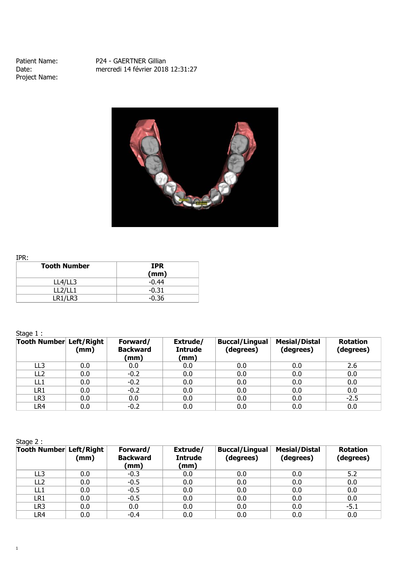Project Name:

Patient Name: P24 - GAERTNER Gillian<br>Date: nercredi 14 février 2018 Date: mercredi 14 février 2018 12:31:27



IPR:

| ----<br><b>Tooth Number</b> | <b>IPR</b> |
|-----------------------------|------------|
|                             | (mm)       |
| LL4/LL3                     | $-0.44$    |
| LL2/LL1                     | $-0.31$    |
| LR1/LR3                     | $-0.36$    |

## Stage 1 :

| $- - - - -$<br>Tooth Number Left/Right | (mm) | Forward/<br><b>Backward</b><br>(mm) | Extrude/<br><b>Intrude</b><br>(mm) | <b>Buccal/Lingual</b><br>(degrees) | <b>Mesial/Distal</b><br>(degrees) | <b>Rotation</b><br>(degrees) |
|----------------------------------------|------|-------------------------------------|------------------------------------|------------------------------------|-----------------------------------|------------------------------|
| LL3                                    | 0.0  | 0.0                                 | 0.0                                | 0.0                                | 0.0                               | 2.6                          |
| LL <sub>2</sub>                        | 0.0  | $-0.2$                              | 0.0                                | 0.0                                | 0.0                               | 0.0                          |
| LL1                                    | 0.0  | $-0.2$                              | 0.0                                | 0.0                                | 0.0                               | 0.0                          |
| LR1                                    | 0.0  | $-0.2$                              | 0.0                                | 0.0                                | 0.0                               | 0.0                          |
| LR3                                    | 0.0  | $0.0\,$                             | 0.0                                | 0.0                                | 0.0                               | $-2.5$                       |
| LR4                                    | 0.0  | $-0.2$                              | 0.0                                | 0.0                                | 0.0                               | 0.0                          |

Stage 2 :

| <b>Tooth Number Left/Right</b> | (mm) | Forward/<br><b>Backward</b><br>(mm) | Extrude/<br><b>Intrude</b><br>(mm) | <b>Buccal/Lingual</b><br>(degrees) | <b>Mesial/Distal</b><br>(degrees) | <b>Rotation</b><br>(degrees) |
|--------------------------------|------|-------------------------------------|------------------------------------|------------------------------------|-----------------------------------|------------------------------|
| LL3                            | 0.0  | $-0.3$                              | 0.0                                | 0.0                                | 0.0                               | 5.2                          |
| LL <sub>2</sub>                | 0.0  | $-0.5$                              | 0.0                                | 0.0                                | 0.0                               | 0.0                          |
| LL1                            | 0.0  | $-0.5$                              | 0.0                                | 0.0                                | 0.0                               | 0.0                          |
| LR1                            | 0.0  | $-0.5$                              | 0.0                                | 0.0                                | 0.0                               | 0.0                          |
| LR3                            | 0.0  | 0.0                                 | 0.0                                | 0.0                                | 0.0                               | $-5.1$                       |
| LR4                            | 0.0  | $-0.4$                              | 0.0                                | 0.0                                | 0.0                               | 0.0                          |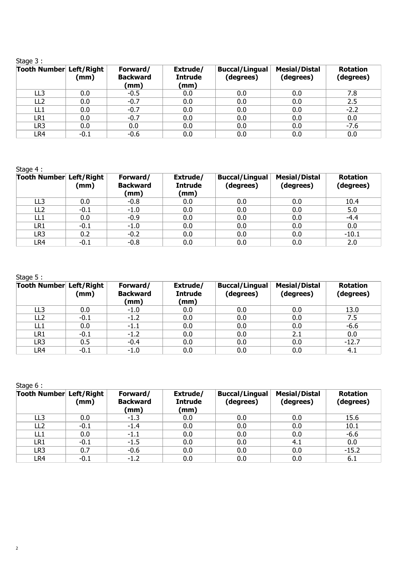| ı.<br>ï |  |
|---------|--|
| Ξ       |  |
|         |  |

| ------<br>Tooth Number Left/Right | (mm)   | Forward/<br><b>Backward</b><br>(mm) | Extrude/<br><b>Intrude</b><br>(mm) | <b>Buccal/Lingual</b><br>(degrees) | <b>Mesial/Distal</b><br>(degrees) | <b>Rotation</b><br>(degrees) |
|-----------------------------------|--------|-------------------------------------|------------------------------------|------------------------------------|-----------------------------------|------------------------------|
| LL3                               | 0.0    | $-0.5$                              | 0.0                                | 0.0                                | 0.0                               | 7.8                          |
| LL <sub>2</sub>                   | 0.0    | $-0.7$                              | 0.0                                | 0.0                                | 0.0                               | 2.5                          |
| LL1                               | 0.0    | $-0.7$                              | 0.0                                | 0.0                                | 0.0                               | $-2.2$                       |
| LR1                               | 0.0    | $-0.7$                              | 0.0                                | 0.0                                | 0.0                               | 0.0                          |
| LR <sub>3</sub>                   | 0.0    | 0.0                                 | 0.0                                | 0.0                                | 0.0                               | $-7.6$                       |
| LR4                               | $-0.1$ | $-0.6$                              | 0.0                                | 0.0                                | 0.0                               | 0.0                          |

Stage 4 :

| Tooth Number Left/Right | (mm)   | Forward/<br><b>Backward</b><br>(mm) | Extrude/<br><b>Intrude</b><br>(mm) | <b>Buccal/Lingual</b><br>(degrees) | <b>Mesial/Distal</b><br>(degrees) | <b>Rotation</b><br>(degrees) |
|-------------------------|--------|-------------------------------------|------------------------------------|------------------------------------|-----------------------------------|------------------------------|
| LL <sub>3</sub>         | 0.0    | $-0.8$                              | 0.0                                | 0.0                                | 0.0                               | 10.4                         |
| LL <sub>2</sub>         | $-0.1$ | $-1.0$                              | 0.0                                | 0.0                                | 0.0                               | 5.0                          |
| LL <sub>1</sub>         | 0.0    | $-0.9$                              | 0.0                                | 0.0                                | 0.0                               | $-4.4$                       |
| LR1                     | $-0.1$ | $-1.0$                              | 0.0                                | 0.0                                | 0.0                               | 0.0                          |
| LR3                     | 0.2    | $-0.2$                              | 0.0                                | 0.0                                | 0.0                               | $-10.1$                      |
| LR4                     | $-0.1$ | $-0.8$                              | 0.0                                | 0.0                                | 0.0                               | 2.0                          |

Stage 5 :

| Tooth Number Left/Right | (mm)   | Forward/<br><b>Backward</b><br>(mm) | Extrude/<br><b>Intrude</b><br>(mm) | <b>Buccal/Lingual</b><br>(degrees) | <b>Mesial/Distal</b><br>(degrees) | <b>Rotation</b><br>(degrees) |
|-------------------------|--------|-------------------------------------|------------------------------------|------------------------------------|-----------------------------------|------------------------------|
| LL3                     | 0.0    | $-1.0$                              | 0.0                                | 0.0                                | 0.0                               | 13.0                         |
| LL <sub>2</sub>         | $-0.1$ | $-1.2$                              | 0.0                                | 0.0                                | 0.0                               | 7.5                          |
| LL1                     | 0.0    | $-1.1$                              | 0.0                                | 0.0                                | 0.0                               | $-6.6$                       |
| LR1                     | $-0.1$ | $-1.2$                              | 0.0                                | 0.0                                | 2.1                               | 0.0                          |
| LR3                     | 0.5    | $-0.4$                              | 0.0                                | 0.0                                | 0.0                               | $-12.7$                      |
| LR4                     | $-0.1$ | $-1.0$                              | 0.0                                | 0.0                                | 0.0                               | 4.1                          |

Stage 6 :

| <b>Tooth Number Left/Right</b> | (mm)   | Forward/<br><b>Backward</b><br>(mm) | Extrude/<br><b>Intrude</b><br>(mm) | <b>Buccal/Lingual</b><br>(degrees) | <b>Mesial/Distal</b><br>(degrees) | <b>Rotation</b><br>(degrees) |
|--------------------------------|--------|-------------------------------------|------------------------------------|------------------------------------|-----------------------------------|------------------------------|
| LL3                            | 0.0    | $-1.3$                              | 0.0                                | 0.0                                | 0.0                               | 15.6                         |
| LL <sub>2</sub>                | $-0.1$ | $-1.4$                              | 0.0                                | 0.0                                | 0.0                               | 10.1                         |
| LL <sub>1</sub>                | 0.0    | $-1.1$                              | 0.0                                | 0.0                                | 0.0                               | $-6.6$                       |
| LR1                            | $-0.1$ | $-1.5$                              | 0.0                                | 0.0                                | 4.1                               | 0.0                          |
| LR3                            | 0.7    | $-0.6$                              | 0.0                                | 0.0                                | 0.0                               | $-15.2$                      |
| LR4                            | $-0.1$ | $-1.2$                              | 0.0                                | 0.0                                | 0.0                               | 6.1                          |